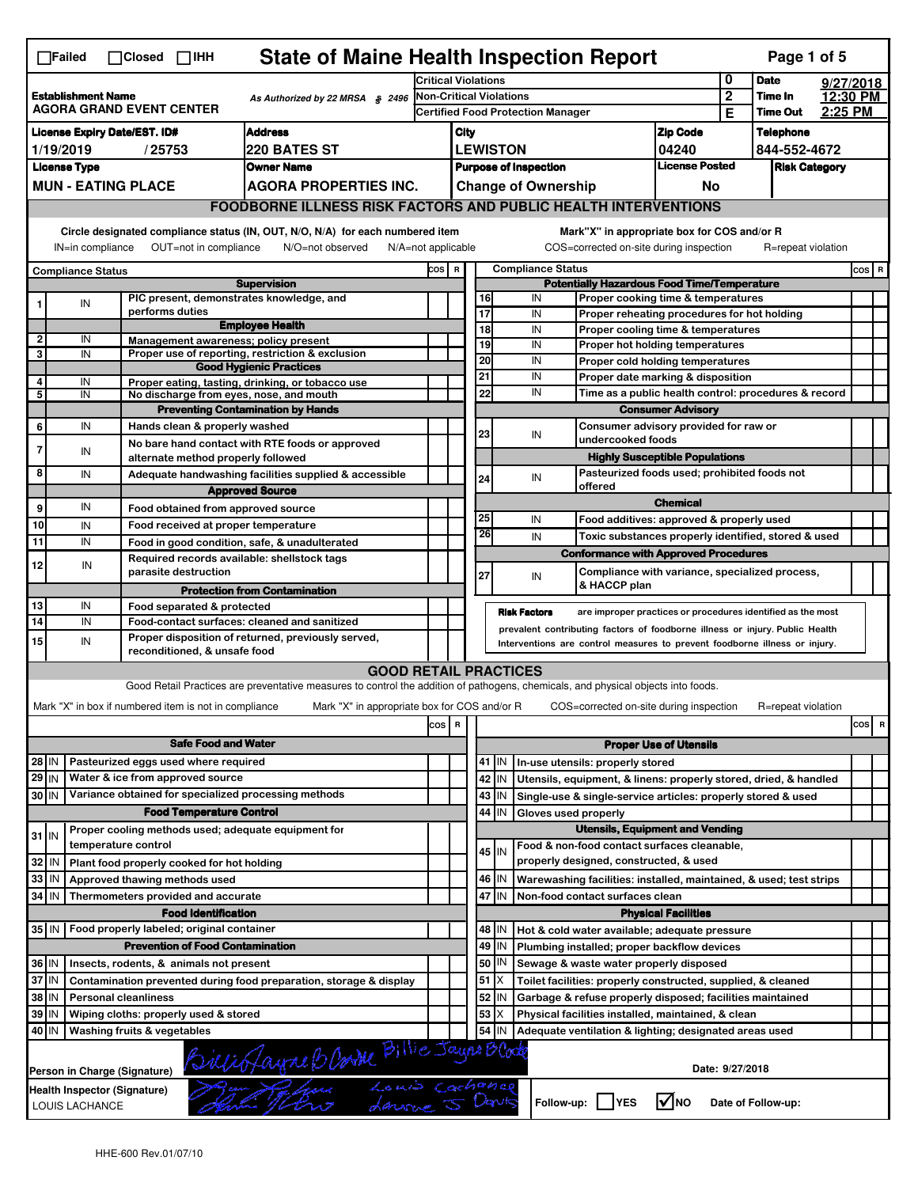|                                                                                                                                                                                                                                                                                       | <b>State of Maine Health Inspection Report</b><br>Page 1 of 5<br>$\Box$ Failed<br>$\Box$ Closed $\Box$ IHH |                                                       |                                                                                                                                   |                                |                                   |          |         |                              |                                                                              |                                       |                 |                      |  |          |
|---------------------------------------------------------------------------------------------------------------------------------------------------------------------------------------------------------------------------------------------------------------------------------------|------------------------------------------------------------------------------------------------------------|-------------------------------------------------------|-----------------------------------------------------------------------------------------------------------------------------------|--------------------------------|-----------------------------------|----------|---------|------------------------------|------------------------------------------------------------------------------|---------------------------------------|-----------------|----------------------|--|----------|
| 0<br><b>Date</b><br><b>Critical Violations</b>                                                                                                                                                                                                                                        |                                                                                                            |                                                       |                                                                                                                                   |                                |                                   |          |         |                              | 9/27/2018                                                                    |                                       |                 |                      |  |          |
| <b>Establishment Name</b><br>As Authorized by 22 MRSA § 2496<br><b>AGORA GRAND EVENT CENTER</b>                                                                                                                                                                                       |                                                                                                            |                                                       |                                                                                                                                   | <b>Non-Critical Violations</b> |                                   |          |         |                              | $\overline{2}$                                                               | Time In                               |                 | 12:30 PM             |  |          |
|                                                                                                                                                                                                                                                                                       |                                                                                                            |                                                       |                                                                                                                                   |                                | Certified Food Protection Manager |          |         |                              |                                                                              | Е                                     | <b>Time Out</b> | 2:25 PM              |  |          |
| <b>Address</b><br><b>License Expiry Date/EST. ID#</b>                                                                                                                                                                                                                                 |                                                                                                            |                                                       |                                                                                                                                   |                                | <b>Zip Code</b><br>City           |          |         |                              |                                                                              | <b>Telephone</b>                      |                 |                      |  |          |
| 220 BATES ST<br>1/19/2019<br>/25753                                                                                                                                                                                                                                                   |                                                                                                            |                                                       |                                                                                                                                   |                                | <b>LEWISTON</b><br>04240          |          |         |                              |                                                                              | 844-552-4672                          |                 |                      |  |          |
|                                                                                                                                                                                                                                                                                       | <b>License Type</b><br><b>Owner Name</b>                                                                   |                                                       |                                                                                                                                   |                                |                                   |          |         | <b>Purpose of Inspection</b> |                                                                              | <b>License Posted</b>                 |                 | <b>Risk Category</b> |  |          |
|                                                                                                                                                                                                                                                                                       | <b>MUN - EATING PLACE</b><br><b>AGORA PROPERTIES INC.</b>                                                  |                                                       |                                                                                                                                   |                                |                                   |          |         | <b>Change of Ownership</b>   |                                                                              | No                                    |                 |                      |  |          |
|                                                                                                                                                                                                                                                                                       |                                                                                                            |                                                       | <b>FOODBORNE ILLNESS RISK FACTORS AND PUBLIC HEALTH INTERVENTIONS</b>                                                             |                                |                                   |          |         |                              |                                                                              |                                       |                 |                      |  |          |
| Circle designated compliance status (IN, OUT, N/O, N/A) for each numbered item<br>Mark"X" in appropriate box for COS and/or R<br>OUT=not in compliance<br>COS=corrected on-site during inspection<br>IN=in compliance<br>N/O=not observed<br>N/A=not applicable<br>R=repeat violation |                                                                                                            |                                                       |                                                                                                                                   |                                |                                   |          |         |                              |                                                                              |                                       |                 |                      |  |          |
|                                                                                                                                                                                                                                                                                       | COS R<br><b>Compliance Status</b>                                                                          |                                                       |                                                                                                                                   |                                |                                   |          |         | <b>Compliance Status</b>     |                                                                              |                                       |                 |                      |  | $cos$ R  |
|                                                                                                                                                                                                                                                                                       |                                                                                                            |                                                       | <b>Supervision</b>                                                                                                                |                                |                                   |          |         |                              | <b>Potentially Hazardous Food Time/Temperature</b>                           |                                       |                 |                      |  |          |
| 1                                                                                                                                                                                                                                                                                     | ${\sf IN}$                                                                                                 |                                                       | PIC present, demonstrates knowledge, and                                                                                          |                                |                                   | 16       |         | IN                           | Proper cooking time & temperatures                                           |                                       |                 |                      |  |          |
|                                                                                                                                                                                                                                                                                       |                                                                                                            | performs duties                                       | <b>Employee Health</b>                                                                                                            |                                |                                   | 17       |         | IN                           | Proper reheating procedures for hot holding                                  |                                       |                 |                      |  |          |
|                                                                                                                                                                                                                                                                                       | IN                                                                                                         | Management awareness: policy present                  |                                                                                                                                   |                                |                                   | 18<br>19 |         | IN<br>IN                     | Proper cooling time & temperatures<br>Proper hot holding temperatures        |                                       |                 |                      |  |          |
| 3                                                                                                                                                                                                                                                                                     | IN                                                                                                         |                                                       | Proper use of reporting, restriction & exclusion                                                                                  |                                |                                   | 20       |         | IN                           |                                                                              |                                       |                 |                      |  |          |
|                                                                                                                                                                                                                                                                                       |                                                                                                            |                                                       | <b>Good Hygienic Practices</b>                                                                                                    |                                |                                   | 21       |         | IN                           | Proper cold holding temperatures<br>Proper date marking & disposition        |                                       |                 |                      |  |          |
| 4<br>5                                                                                                                                                                                                                                                                                | IN<br>IN                                                                                                   | No discharge from eyes, nose, and mouth               | Proper eating, tasting, drinking, or tobacco use                                                                                  |                                |                                   | 22       |         | IN                           | Time as a public health control: procedures & record                         |                                       |                 |                      |  |          |
|                                                                                                                                                                                                                                                                                       |                                                                                                            |                                                       | <b>Preventing Contamination by Hands</b>                                                                                          |                                |                                   |          |         |                              |                                                                              | <b>Consumer Advisory</b>              |                 |                      |  |          |
| 6                                                                                                                                                                                                                                                                                     | IN                                                                                                         | Hands clean & properly washed                         |                                                                                                                                   |                                |                                   |          |         |                              | Consumer advisory provided for raw or                                        |                                       |                 |                      |  |          |
|                                                                                                                                                                                                                                                                                       |                                                                                                            |                                                       | No bare hand contact with RTE foods or approved                                                                                   |                                |                                   | 23       |         | IN                           | undercooked foods                                                            |                                       |                 |                      |  |          |
| $\overline{7}$                                                                                                                                                                                                                                                                        | IN                                                                                                         | alternate method properly followed                    |                                                                                                                                   |                                |                                   |          |         |                              |                                                                              | <b>Highly Susceptible Populations</b> |                 |                      |  |          |
| 8                                                                                                                                                                                                                                                                                     | IN                                                                                                         |                                                       | Adequate handwashing facilities supplied & accessible                                                                             |                                |                                   | 24       |         | IN                           | Pasteurized foods used; prohibited foods not                                 |                                       |                 |                      |  |          |
|                                                                                                                                                                                                                                                                                       |                                                                                                            |                                                       | <b>Approved Source</b>                                                                                                            |                                |                                   |          |         |                              | offered                                                                      |                                       |                 |                      |  |          |
| 9                                                                                                                                                                                                                                                                                     | IN                                                                                                         | Food obtained from approved source                    |                                                                                                                                   |                                |                                   |          |         |                              |                                                                              | <b>Chemical</b>                       |                 |                      |  |          |
| 10                                                                                                                                                                                                                                                                                    | IN                                                                                                         | Food received at proper temperature                   |                                                                                                                                   |                                |                                   | 25       |         | IN                           | Food additives: approved & properly used                                     |                                       |                 |                      |  |          |
| 11                                                                                                                                                                                                                                                                                    | IN                                                                                                         |                                                       | Food in good condition, safe, & unadulterated                                                                                     |                                |                                   | 26       |         | IN                           | Toxic substances properly identified, stored & used                          |                                       |                 |                      |  |          |
|                                                                                                                                                                                                                                                                                       |                                                                                                            |                                                       | Required records available: shellstock tags                                                                                       |                                |                                   |          |         |                              | <b>Conformance with Approved Procedures</b>                                  |                                       |                 |                      |  |          |
| 12                                                                                                                                                                                                                                                                                    | IN                                                                                                         | parasite destruction                                  |                                                                                                                                   |                                |                                   | 27       |         | IN                           | Compliance with variance, specialized process,                               |                                       |                 |                      |  |          |
|                                                                                                                                                                                                                                                                                       |                                                                                                            |                                                       | <b>Protection from Contamination</b>                                                                                              |                                |                                   |          |         |                              | & HACCP plan                                                                 |                                       |                 |                      |  |          |
| 13                                                                                                                                                                                                                                                                                    | IN                                                                                                         | Food separated & protected                            |                                                                                                                                   |                                |                                   |          |         | <b>Risk Factors</b>          | are improper practices or procedures identified as the most                  |                                       |                 |                      |  |          |
| 14                                                                                                                                                                                                                                                                                    | IN                                                                                                         |                                                       | Food-contact surfaces: cleaned and sanitized                                                                                      |                                |                                   |          |         |                              | prevalent contributing factors of foodborne illness or injury. Public Health |                                       |                 |                      |  |          |
| 15                                                                                                                                                                                                                                                                                    | IN                                                                                                         |                                                       | Proper disposition of returned, previously served,                                                                                |                                |                                   |          |         |                              | Interventions are control measures to prevent foodborne illness or injury.   |                                       |                 |                      |  |          |
|                                                                                                                                                                                                                                                                                       |                                                                                                            | reconditioned, & unsafe food                          |                                                                                                                                   |                                |                                   |          |         |                              |                                                                              |                                       |                 |                      |  |          |
|                                                                                                                                                                                                                                                                                       |                                                                                                            |                                                       | <b>GOOD RETAIL PRACTICES</b>                                                                                                      |                                |                                   |          |         |                              |                                                                              |                                       |                 |                      |  |          |
|                                                                                                                                                                                                                                                                                       |                                                                                                            |                                                       | Good Retail Practices are preventative measures to control the addition of pathogens, chemicals, and physical objects into foods. |                                |                                   |          |         |                              |                                                                              |                                       |                 |                      |  |          |
|                                                                                                                                                                                                                                                                                       |                                                                                                            | Mark "X" in box if numbered item is not in compliance | Mark "X" in appropriate box for COS and/or R                                                                                      |                                |                                   |          |         |                              | COS=corrected on-site during inspection                                      |                                       |                 | R=repeat violation   |  |          |
|                                                                                                                                                                                                                                                                                       |                                                                                                            |                                                       |                                                                                                                                   | cos                            | $\overline{\mathbf{R}}$           |          |         |                              |                                                                              |                                       |                 |                      |  | cos<br>R |
|                                                                                                                                                                                                                                                                                       |                                                                                                            | <b>Safe Food and Water</b>                            |                                                                                                                                   |                                |                                   |          |         |                              |                                                                              | <b>Proper Use of Utensils</b>         |                 |                      |  |          |
| 28 IN                                                                                                                                                                                                                                                                                 |                                                                                                            | Pasteurized eggs used where required                  |                                                                                                                                   |                                |                                   |          | 41   IN |                              | In-use utensils: properly stored                                             |                                       |                 |                      |  |          |
| $29$ IN                                                                                                                                                                                                                                                                               |                                                                                                            | Water & ice from approved source                      |                                                                                                                                   |                                |                                   | 42       | IN      |                              | Utensils, equipment, & linens: properly stored, dried, & handled             |                                       |                 |                      |  |          |
| 30 IN                                                                                                                                                                                                                                                                                 |                                                                                                            | Variance obtained for specialized processing methods  |                                                                                                                                   |                                |                                   |          | 43   IN |                              | Single-use & single-service articles: properly stored & used                 |                                       |                 |                      |  |          |
|                                                                                                                                                                                                                                                                                       |                                                                                                            | <b>Food Temperature Control</b>                       |                                                                                                                                   |                                |                                   | 44       | IN      | Gloves used properly         |                                                                              |                                       |                 |                      |  |          |
| $31$ IN                                                                                                                                                                                                                                                                               |                                                                                                            | Proper cooling methods used; adequate equipment for   |                                                                                                                                   |                                |                                   |          |         |                              | <b>Utensils, Equipment and Vending</b>                                       |                                       |                 |                      |  |          |
|                                                                                                                                                                                                                                                                                       |                                                                                                            | temperature control                                   |                                                                                                                                   |                                |                                   |          | $45$ IN |                              | Food & non-food contact surfaces cleanable,                                  |                                       |                 |                      |  |          |
| 32                                                                                                                                                                                                                                                                                    | IN                                                                                                         | Plant food properly cooked for hot holding            |                                                                                                                                   |                                |                                   |          |         |                              | properly designed, constructed, & used                                       |                                       |                 |                      |  |          |
| 33                                                                                                                                                                                                                                                                                    | IN                                                                                                         | Approved thawing methods used                         |                                                                                                                                   |                                |                                   |          | 46 IN   |                              | Warewashing facilities: installed, maintained, & used; test strips           |                                       |                 |                      |  |          |
| 34                                                                                                                                                                                                                                                                                    | <b>IN</b>                                                                                                  | Thermometers provided and accurate                    |                                                                                                                                   |                                |                                   | 47       | IN      |                              | Non-food contact surfaces clean                                              |                                       |                 |                      |  |          |
|                                                                                                                                                                                                                                                                                       |                                                                                                            | <b>Food Identification</b>                            |                                                                                                                                   |                                |                                   |          |         |                              |                                                                              | <b>Physical Facilities</b>            |                 |                      |  |          |
|                                                                                                                                                                                                                                                                                       |                                                                                                            | 35 IN   Food properly labeled; original container     |                                                                                                                                   |                                |                                   | 48       | ΙN      |                              | Hot & cold water available; adequate pressure                                |                                       |                 |                      |  |          |
|                                                                                                                                                                                                                                                                                       |                                                                                                            | <b>Prevention of Food Contamination</b>               |                                                                                                                                   |                                |                                   | 49       | IN      |                              | Plumbing installed; proper backflow devices                                  |                                       |                 |                      |  |          |
| 36 IN                                                                                                                                                                                                                                                                                 |                                                                                                            | Insects, rodents, & animals not present               |                                                                                                                                   |                                |                                   | 50       | IN      |                              | Sewage & waste water properly disposed                                       |                                       |                 |                      |  |          |
| 37 IN                                                                                                                                                                                                                                                                                 |                                                                                                            |                                                       | Contamination prevented during food preparation, storage & display                                                                |                                |                                   | 51       | х       |                              | Toilet facilities: properly constructed, supplied, & cleaned                 |                                       |                 |                      |  |          |
| 38<br>IN<br><b>Personal cleanliness</b>                                                                                                                                                                                                                                               |                                                                                                            |                                                       |                                                                                                                                   |                                |                                   | 52       | IN      |                              | Garbage & refuse properly disposed; facilities maintained                    |                                       |                 |                      |  |          |
| 39<br>IN<br>Wiping cloths: properly used & stored                                                                                                                                                                                                                                     |                                                                                                            |                                                       |                                                                                                                                   |                                |                                   | 53       | X       |                              | Physical facilities installed, maintained, & clean                           |                                       |                 |                      |  |          |
| 40 IN                                                                                                                                                                                                                                                                                 |                                                                                                            | Washing fruits & vegetables                           |                                                                                                                                   |                                |                                   | 54       | IN      |                              | Adequate ventilation & lighting; designated areas used                       |                                       |                 |                      |  |          |
|                                                                                                                                                                                                                                                                                       |                                                                                                            |                                                       |                                                                                                                                   |                                |                                   |          |         |                              |                                                                              |                                       |                 |                      |  |          |
| Vio Jaune D Vour Dillie Jaune Block<br>Par Gene Louis Cachange<br>Date: 9/27/2018<br>Person in Charge (Signature)                                                                                                                                                                     |                                                                                                            |                                                       |                                                                                                                                   |                                |                                   |          |         |                              |                                                                              |                                       |                 |                      |  |          |
|                                                                                                                                                                                                                                                                                       | LOUIS LACHANCE                                                                                             | Health Inspector (Signature)                          |                                                                                                                                   |                                |                                   |          |         | Follow-up:                   | <b>IYES</b>                                                                  | l✔lno                                 |                 | Date of Follow-up:   |  |          |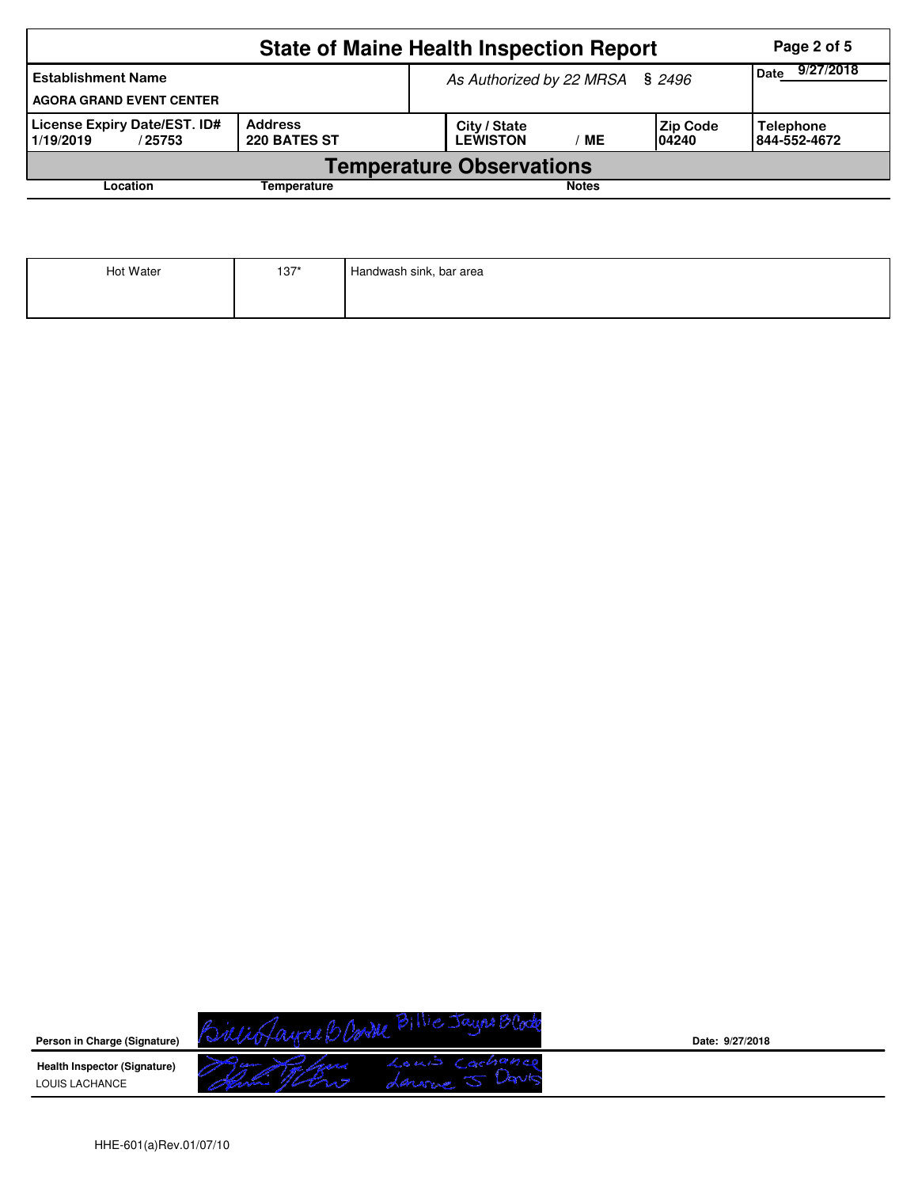|                                                                                | <b>State of Maine Health Inspection Report</b> | Page 2 of 5                     |                   |    |                    |                                  |  |  |  |
|--------------------------------------------------------------------------------|------------------------------------------------|---------------------------------|-------------------|----|--------------------|----------------------------------|--|--|--|
| <b>Establishment Name</b><br><b>AGORA GRAND EVENT CENTER</b>                   |                                                | As Authorized by 22 MRSA § 2496 | 9/27/2018<br>Date |    |                    |                                  |  |  |  |
| License Expiry Date/EST. ID#<br>Address<br>220 BATES ST<br>1/19/2019<br>/25753 |                                                | City / State<br><b>LEWISTON</b> |                   | MЕ | Zip Code<br>104240 | <b>Telephone</b><br>844-552-4672 |  |  |  |
| <b>Temperature Observations</b>                                                |                                                |                                 |                   |    |                    |                                  |  |  |  |
| Location<br><b>Notes</b><br>Temperature                                        |                                                |                                 |                   |    |                    |                                  |  |  |  |

| Hot Water | $137*$ | Handwash sink, bar area |
|-----------|--------|-------------------------|
|           |        |                         |



**Date: 9/27/2018**

HHE-601(a)Rev.01/07/10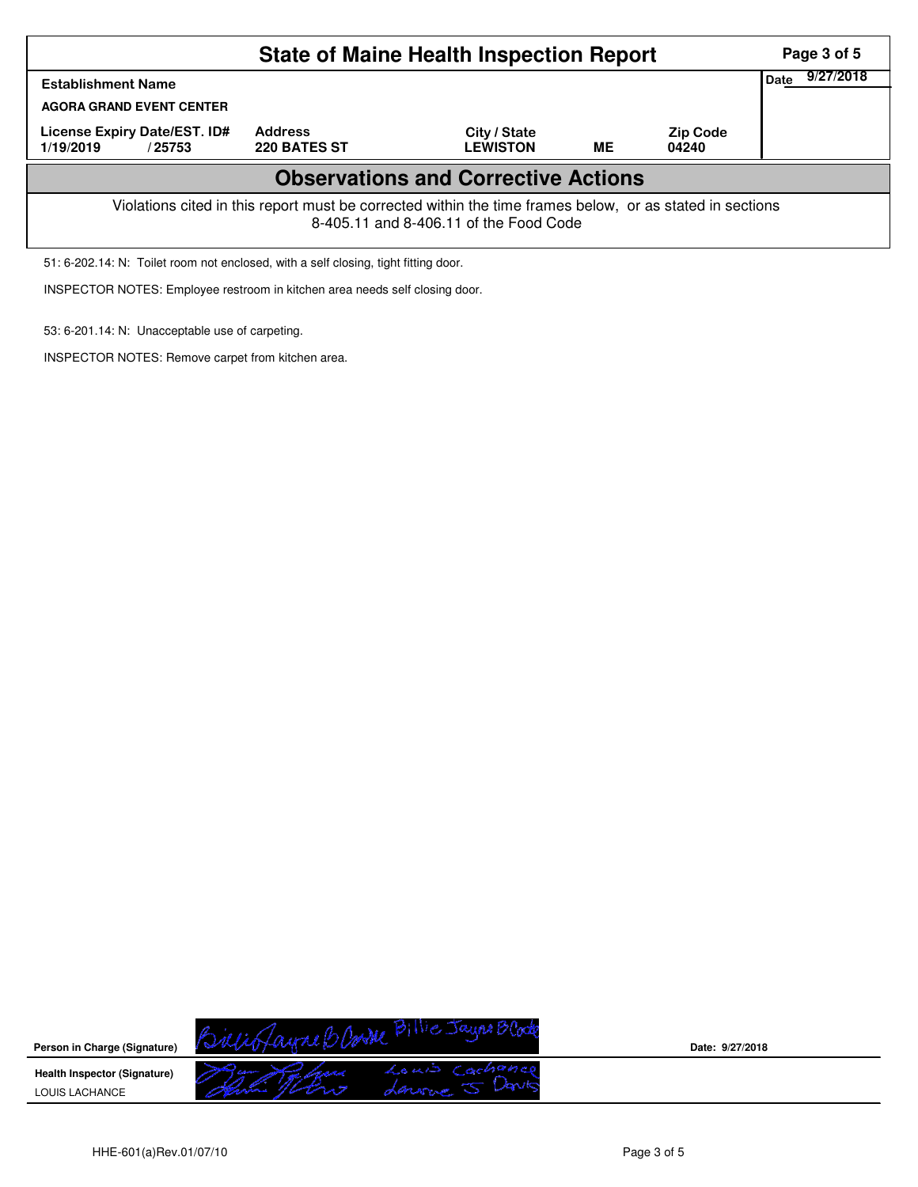|                                                                                                                                                    | Page 3 of 5                           |                                 |    |                          |  |  |  |  |
|----------------------------------------------------------------------------------------------------------------------------------------------------|---------------------------------------|---------------------------------|----|--------------------------|--|--|--|--|
| <b>Establishment Name</b>                                                                                                                          | Date                                  | 9/27/2018                       |    |                          |  |  |  |  |
| <b>AGORA GRAND EVENT CENTER</b>                                                                                                                    |                                       |                                 |    |                          |  |  |  |  |
| License Expiry Date/EST. ID#<br>1/19/2019<br>/25753                                                                                                | <b>Address</b><br><b>220 BATES ST</b> | City / State<br><b>LEWISTON</b> | ME | <b>Zip Code</b><br>04240 |  |  |  |  |
| <b>Observations and Corrective Actions</b>                                                                                                         |                                       |                                 |    |                          |  |  |  |  |
| Violations cited in this report must be corrected within the time frames below, or as stated in sections<br>8-405.11 and 8-406.11 of the Food Code |                                       |                                 |    |                          |  |  |  |  |

51: 6-202.14: N: Toilet room not enclosed, with a self closing, tight fitting door.

INSPECTOR NOTES: Employee restroom in kitchen area needs self closing door.

53: 6-201.14: N: Unacceptable use of carpeting.

INSPECTOR NOTES: Remove carpet from kitchen area.

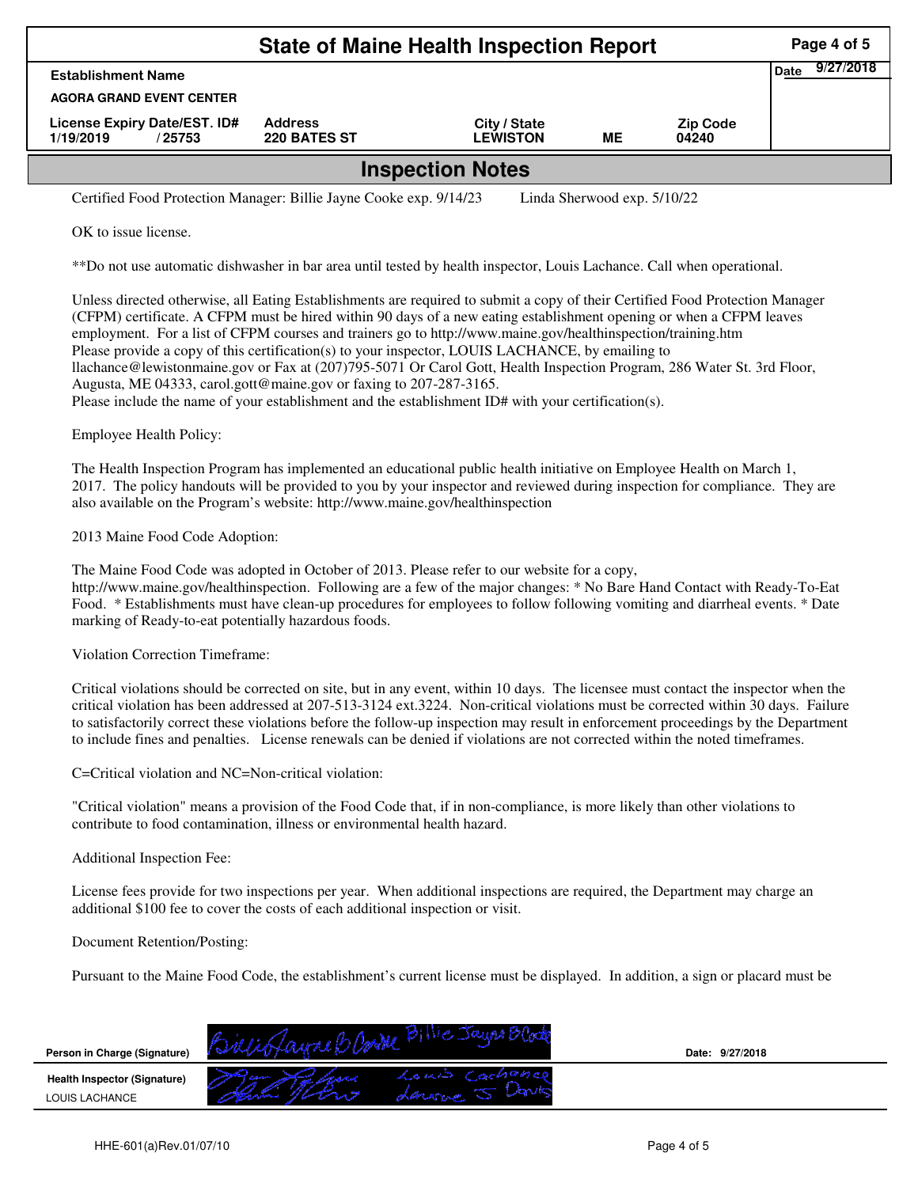|                                                                                                   |                                | Page 4 of 5                     |           |                          |  |  |  |  |  |
|---------------------------------------------------------------------------------------------------|--------------------------------|---------------------------------|-----------|--------------------------|--|--|--|--|--|
| <b>Establishment Name</b>                                                                         | <b>Date</b>                    | 9/27/2018                       |           |                          |  |  |  |  |  |
| <b>AGORA GRAND EVENT CENTER</b>                                                                   |                                |                                 |           |                          |  |  |  |  |  |
| License Expiry Date/EST. ID#<br>1/19/2019<br>/25753                                               | <b>Address</b><br>220 BATES ST | City / State<br><b>LEWISTON</b> | <b>ME</b> | <b>Zip Code</b><br>04240 |  |  |  |  |  |
| <b>Inspection Notes</b>                                                                           |                                |                                 |           |                          |  |  |  |  |  |
| Certified Food Protection Manager: Billie Jayne Cooke exp. 9/14/23<br>Linda Sherwood exp. 5/10/22 |                                |                                 |           |                          |  |  |  |  |  |

OK to issue license.

\*\*Do not use automatic dishwasher in bar area until tested by health inspector, Louis Lachance. Call when operational.

Unless directed otherwise, all Eating Establishments are required to submit a copy of their Certified Food Protection Manager (CFPM) certificate. A CFPM must be hired within 90 days of a new eating establishment opening or when a CFPM leaves employment. For a list of CFPM courses and trainers go to http://www.maine.gov/healthinspection/training.htm Please provide a copy of this certification(s) to your inspector, LOUIS LACHANCE, by emailing to llachance@lewistonmaine.gov or Fax at (207)795-5071 Or Carol Gott, Health Inspection Program, 286 Water St. 3rd Floor, Augusta, ME 04333, carol.gott@maine.gov or faxing to 207-287-3165. Please include the name of your establishment and the establishment ID# with your certification(s).

Employee Health Policy:

The Health Inspection Program has implemented an educational public health initiative on Employee Health on March 1, 2017. The policy handouts will be provided to you by your inspector and reviewed during inspection for compliance. They are also available on the Program's website: http://www.maine.gov/healthinspection

2013 Maine Food Code Adoption:

The Maine Food Code was adopted in October of 2013. Please refer to our website for a copy, http://www.maine.gov/healthinspection. Following are a few of the major changes: \* No Bare Hand Contact with Ready-To-Eat Food. \* Establishments must have clean-up procedures for employees to follow following vomiting and diarrheal events. \* Date marking of Ready-to-eat potentially hazardous foods.

Violation Correction Timeframe:

Critical violations should be corrected on site, but in any event, within 10 days. The licensee must contact the inspector when the critical violation has been addressed at 207-513-3124 ext.3224. Non-critical violations must be corrected within 30 days. Failure to satisfactorily correct these violations before the follow-up inspection may result in enforcement proceedings by the Department to include fines and penalties. License renewals can be denied if violations are not corrected within the noted timeframes.

C=Critical violation and NC=Non-critical violation:

"Critical violation" means a provision of the Food Code that, if in non-compliance, is more likely than other violations to contribute to food contamination, illness or environmental health hazard.

## Additional Inspection Fee:

License fees provide for two inspections per year. When additional inspections are required, the Department may charge an additional \$100 fee to cover the costs of each additional inspection or visit.

Document Retention/Posting:

Pursuant to the Maine Food Code, the establishment's current license must be displayed. In addition, a sign or placard must be

| Person in Charge (Signature)                          | <b>BOOK</b>        | Date: 9/27/2018 |  |
|-------------------------------------------------------|--------------------|-----------------|--|
| <b>Health Inspector (Signature)</b><br>LOUIS LACHANCE | 20417<br>marin com |                 |  |